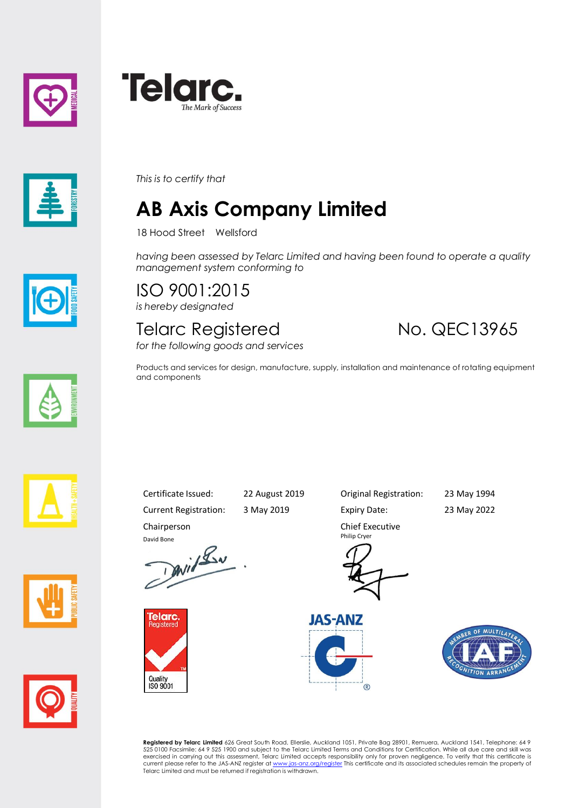





*This is to certify that*

## **AB Axis Company Limited**

18 Hood Street Wellsford

*having been assessed by Telarc Limited and having been found to operate a quality management system conforming to*

ISO 9001:2015 *is hereby designated*

Telarc Registered No. QEC13965

*for the following goods and services*



Products and services for design, manufacture, supply, installation and maintenance of rotating equipment and components











Current Registration: 3 May 2019 Expiry Date: 23 May 2022 Chairperson

David Bone<br>David Lav



Certificate Issued: 22 August 2019 Original Registration: 23 May 1994

Chief Executive Philip Cryer





**Registered by Telarc Limited** 626 Great South Road, Ellerslie, Auckland 1051, Private Bag 28901, Remuera, Auckland 1541, Telephone: 64 9<br>525 0100 Facsimile: 64 9 525 1900 and subject to the Telarc Limited Terms and Condit